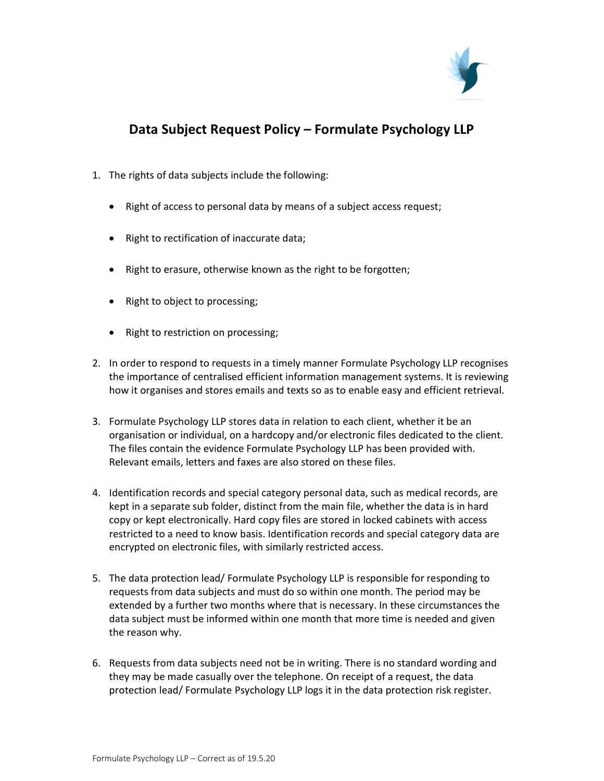

## Data Subject Request Policy – Formulate Psychology LLP

- 1. The rights of data subjects include the following:
	- Right of access to personal data by means of a subject access request;
	- Right to rectification of inaccurate data;
	- Right to erasure, otherwise known as the right to be forgotten;
	- Right to object to processing;
	- Right to restriction on processing;
- 2. In order to respond to requests in a timely manner Formulate Psychology LLP recognises the importance of centralised efficient information management systems. It is reviewing how it organises and stores emails and texts so as to enable easy and efficient retrieval.
- 3. Formulate Psychology LLP stores data in relation to each client, whether it be an organisation or individual, on a hardcopy and/or electronic files dedicated to the client. The files contain the evidence Formulate Psychology LLP has been provided with. Relevant emails, letters and faxes are also stored on these files.
- 4. Identification records and special category personal data, such as medical records, are kept in a separate sub folder, distinct from the main file, whether the data is in hard copy or kept electronically. Hard copy files are stored in locked cabinets with access restricted to a need to know basis. Identification records and special category data are encrypted on electronic files, with similarly restricted access.
- 5. The data protection lead/ Formulate Psychology LLP is responsible for responding to requests from data subjects and must do so within one month. The period may be extended by a further two months where that is necessary. In these circumstances the data subject must be informed within one month that more time is needed and given the reason why.
- 6. Requests from data subjects need not be in writing. There is no standard wording and they may be made casually over the telephone. On receipt of a request, the data protection lead/ Formulate Psychology LLP logs it in the data protection risk register.